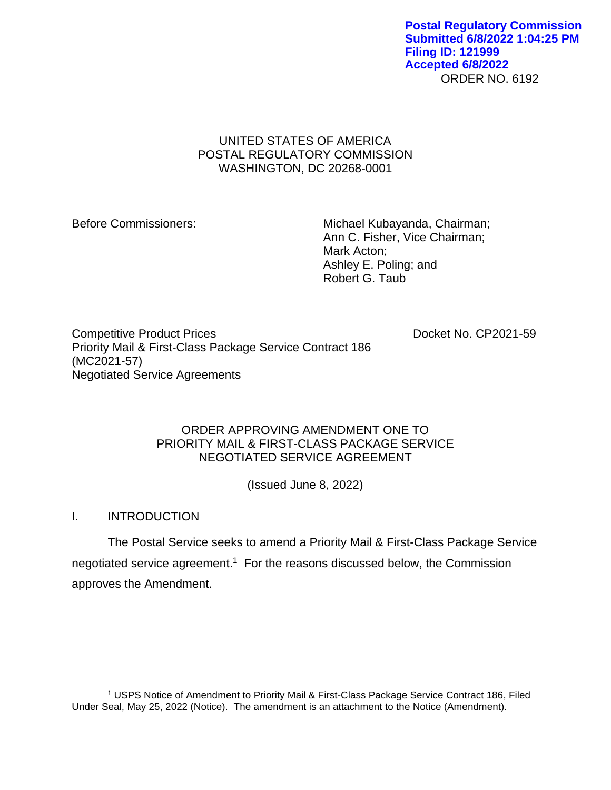ORDER NO. 6192 **Postal Regulatory Commission Submitted 6/8/2022 1:04:25 PM Filing ID: 121999 Accepted 6/8/2022**

# UNITED STATES OF AMERICA POSTAL REGULATORY COMMISSION WASHINGTON, DC 20268-0001

Before Commissioners: Michael Kubayanda, Chairman; Ann C. Fisher, Vice Chairman; Mark Acton; Ashley E. Poling; and Robert G. Taub

Competitive Product Prices **Docket No. CP2021-59** Priority Mail & First-Class Package Service Contract 186 (MC2021-57) Negotiated Service Agreements

# ORDER APPROVING AMENDMENT ONE TO PRIORITY MAIL & FIRST-CLASS PACKAGE SERVICE NEGOTIATED SERVICE AGREEMENT

(Issued June 8, 2022)

I. INTRODUCTION

The Postal Service seeks to amend a Priority Mail & First-Class Package Service negotiated service agreement.<sup>1</sup> For the reasons discussed below, the Commission approves the Amendment.

<sup>1</sup> USPS Notice of Amendment to Priority Mail & First-Class Package Service Contract 186, Filed Under Seal, May 25, 2022 (Notice). The amendment is an attachment to the Notice (Amendment).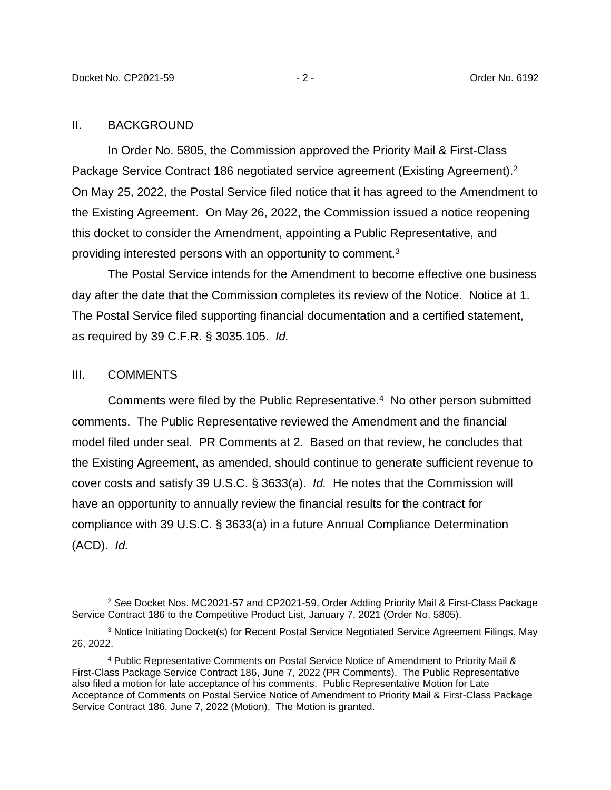#### II. BACKGROUND

In Order No. 5805, the Commission approved the Priority Mail & First-Class Package Service Contract 186 negotiated service agreement (Existing Agreement).<sup>2</sup> On May 25, 2022, the Postal Service filed notice that it has agreed to the Amendment to the Existing Agreement. On May 26, 2022, the Commission issued a notice reopening this docket to consider the Amendment, appointing a Public Representative, and providing interested persons with an opportunity to comment.<sup>3</sup>

The Postal Service intends for the Amendment to become effective one business day after the date that the Commission completes its review of the Notice. Notice at 1. The Postal Service filed supporting financial documentation and a certified statement, as required by 39 C.F.R. § 3035.105. *Id.*

### III. COMMENTS

Comments were filed by the Public Representative.<sup>4</sup> No other person submitted comments. The Public Representative reviewed the Amendment and the financial model filed under seal. PR Comments at 2. Based on that review, he concludes that the Existing Agreement, as amended, should continue to generate sufficient revenue to cover costs and satisfy 39 U.S.C. § 3633(a). *Id.* He notes that the Commission will have an opportunity to annually review the financial results for the contract for compliance with 39 U.S.C. § 3633(a) in a future Annual Compliance Determination (ACD). *Id.*

<sup>2</sup> *See* Docket Nos. MC2021-57 and CP2021-59, Order Adding Priority Mail & First-Class Package Service Contract 186 to the Competitive Product List, January 7, 2021 (Order No. 5805).

<sup>3</sup> Notice Initiating Docket(s) for Recent Postal Service Negotiated Service Agreement Filings, May 26, 2022.

<sup>4</sup> Public Representative Comments on Postal Service Notice of Amendment to Priority Mail & First-Class Package Service Contract 186, June 7, 2022 (PR Comments). The Public Representative also filed a motion for late acceptance of his comments. Public Representative Motion for Late Acceptance of Comments on Postal Service Notice of Amendment to Priority Mail & First-Class Package Service Contract 186, June 7, 2022 (Motion). The Motion is granted.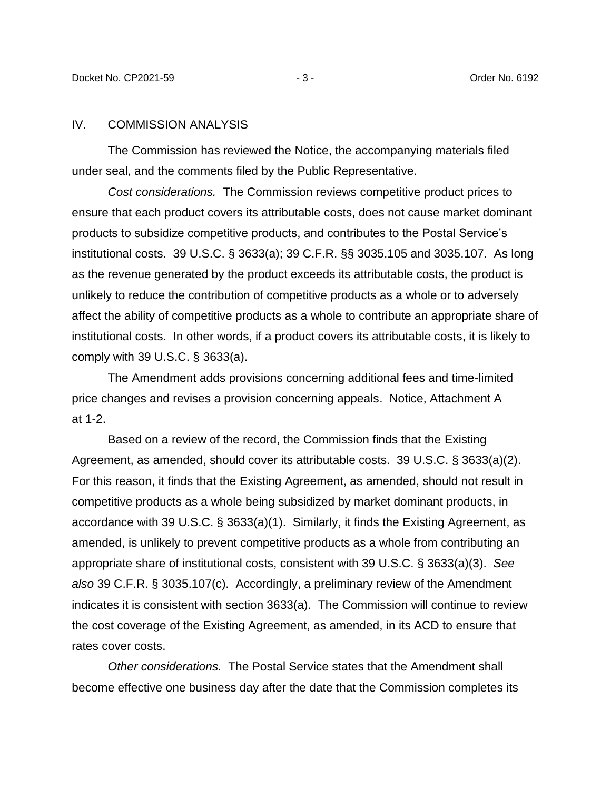### IV. COMMISSION ANALYSIS

The Commission has reviewed the Notice, the accompanying materials filed under seal, and the comments filed by the Public Representative.

*Cost considerations.* The Commission reviews competitive product prices to ensure that each product covers its attributable costs, does not cause market dominant products to subsidize competitive products, and contributes to the Postal Service's institutional costs. 39 U.S.C. § 3633(a); 39 C.F.R. §§ 3035.105 and 3035.107. As long as the revenue generated by the product exceeds its attributable costs, the product is unlikely to reduce the contribution of competitive products as a whole or to adversely affect the ability of competitive products as a whole to contribute an appropriate share of institutional costs. In other words, if a product covers its attributable costs, it is likely to comply with 39 U.S.C. § 3633(a).

The Amendment adds provisions concerning additional fees and time-limited price changes and revises a provision concerning appeals. Notice, Attachment A at 1-2.

Based on a review of the record, the Commission finds that the Existing Agreement, as amended, should cover its attributable costs. 39 U.S.C. § 3633(a)(2). For this reason, it finds that the Existing Agreement, as amended, should not result in competitive products as a whole being subsidized by market dominant products, in accordance with 39 U.S.C. § 3633(a)(1). Similarly, it finds the Existing Agreement, as amended, is unlikely to prevent competitive products as a whole from contributing an appropriate share of institutional costs, consistent with 39 U.S.C. § 3633(a)(3). *See also* 39 C.F.R. § 3035.107(c). Accordingly, a preliminary review of the Amendment indicates it is consistent with section 3633(a). The Commission will continue to review the cost coverage of the Existing Agreement, as amended, in its ACD to ensure that rates cover costs.

*Other considerations.* The Postal Service states that the Amendment shall become effective one business day after the date that the Commission completes its